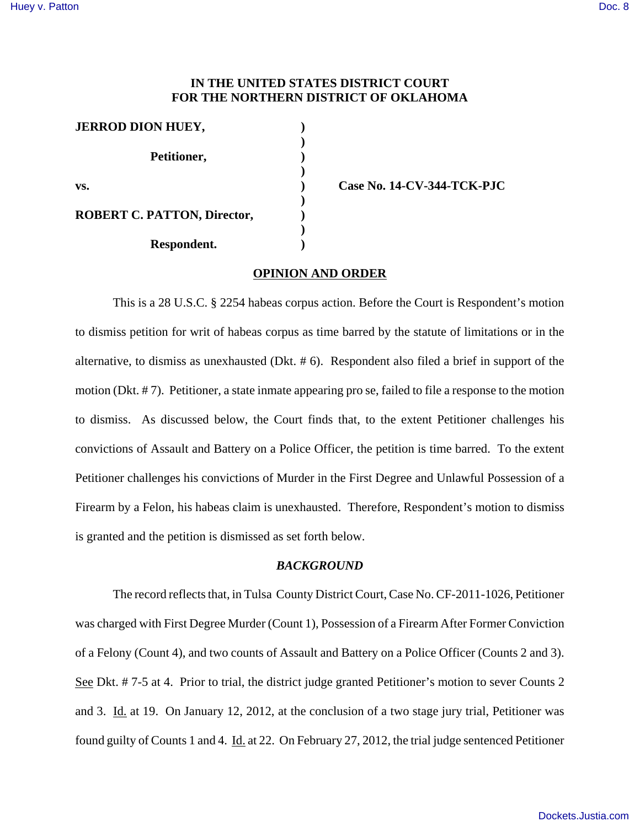# **IN THE UNITED STATES DISTRICT COURT FOR THE NORTHERN DISTRICT OF OKLAHOMA**

| <b>JERROD DION HUEY,</b>           |  |
|------------------------------------|--|
| Petitioner,                        |  |
| VS.                                |  |
| <b>ROBERT C. PATTON, Director,</b> |  |
| Respondent.                        |  |

**vs. ) Case No. 14-CV-344-TCK-PJC** 

#### **OPINION AND ORDER**

This is a 28 U.S.C. § 2254 habeas corpus action. Before the Court is Respondent's motion to dismiss petition for writ of habeas corpus as time barred by the statute of limitations or in the alternative, to dismiss as unexhausted (Dkt. # 6). Respondent also filed a brief in support of the motion (Dkt. # 7). Petitioner, a state inmate appearing pro se, failed to file a response to the motion to dismiss. As discussed below, the Court finds that, to the extent Petitioner challenges his convictions of Assault and Battery on a Police Officer, the petition is time barred. To the extent Petitioner challenges his convictions of Murder in the First Degree and Unlawful Possession of a Firearm by a Felon, his habeas claim is unexhausted. Therefore, Respondent's motion to dismiss is granted and the petition is dismissed as set forth below.

### *BACKGROUND*

The record reflects that, in Tulsa County District Court, Case No. CF-2011-1026, Petitioner was charged with First Degree Murder (Count 1), Possession of a Firearm After Former Conviction of a Felony (Count 4), and two counts of Assault and Battery on a Police Officer (Counts 2 and 3). See Dkt. # 7-5 at 4. Prior to trial, the district judge granted Petitioner's motion to sever Counts 2 and 3. Id. at 19. On January 12, 2012, at the conclusion of a two stage jury trial, Petitioner was found guilty of Counts 1 and 4. Id. at 22. On February 27, 2012, the trial judge sentenced Petitioner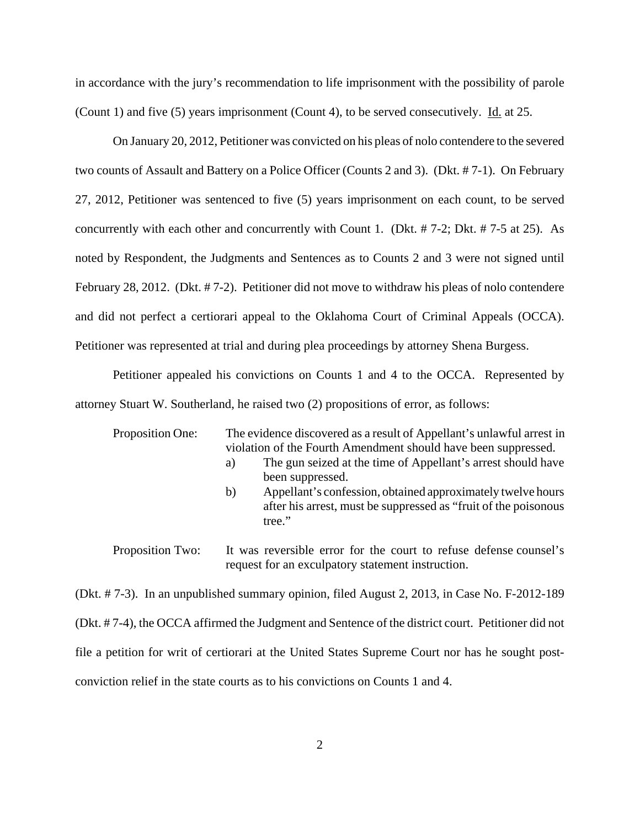in accordance with the jury's recommendation to life imprisonment with the possibility of parole (Count 1) and five (5) years imprisonment (Count 4), to be served consecutively. Id. at 25.

On January 20, 2012, Petitioner was convicted on his pleas of nolo contendere to the severed two counts of Assault and Battery on a Police Officer (Counts 2 and 3). (Dkt. # 7-1). On February 27, 2012, Petitioner was sentenced to five (5) years imprisonment on each count, to be served concurrently with each other and concurrently with Count 1. (Dkt. # 7-2; Dkt. # 7-5 at 25). As noted by Respondent, the Judgments and Sentences as to Counts 2 and 3 were not signed until February 28, 2012. (Dkt. # 7-2). Petitioner did not move to withdraw his pleas of nolo contendere and did not perfect a certiorari appeal to the Oklahoma Court of Criminal Appeals (OCCA). Petitioner was represented at trial and during plea proceedings by attorney Shena Burgess.

Petitioner appealed his convictions on Counts 1 and 4 to the OCCA. Represented by attorney Stuart W. Southerland, he raised two (2) propositions of error, as follows:

| Proposition One: | The evidence discovered as a result of Appellant's unlawful arrest in<br>violation of the Fourth Amendment should have been suppressed.<br>The gun seized at the time of Appellant's arrest should have<br>a)<br>been suppressed. |
|------------------|-----------------------------------------------------------------------------------------------------------------------------------------------------------------------------------------------------------------------------------|
|                  | Appellant's confession, obtained approximately twelve hours<br>b)<br>after his arrest, must be suppressed as "fruit of the poisonous"<br>tree."                                                                                   |
| Proposition Two: | It was reversible error for the court to refuse defense counsel's<br>request for an exculpatory statement instruction.                                                                                                            |

(Dkt. # 7-3). In an unpublished summary opinion, filed August 2, 2013, in Case No. F-2012-189 (Dkt. # 7-4), the OCCA affirmed the Judgment and Sentence of the district court. Petitioner did not file a petition for writ of certiorari at the United States Supreme Court nor has he sought postconviction relief in the state courts as to his convictions on Counts 1 and 4.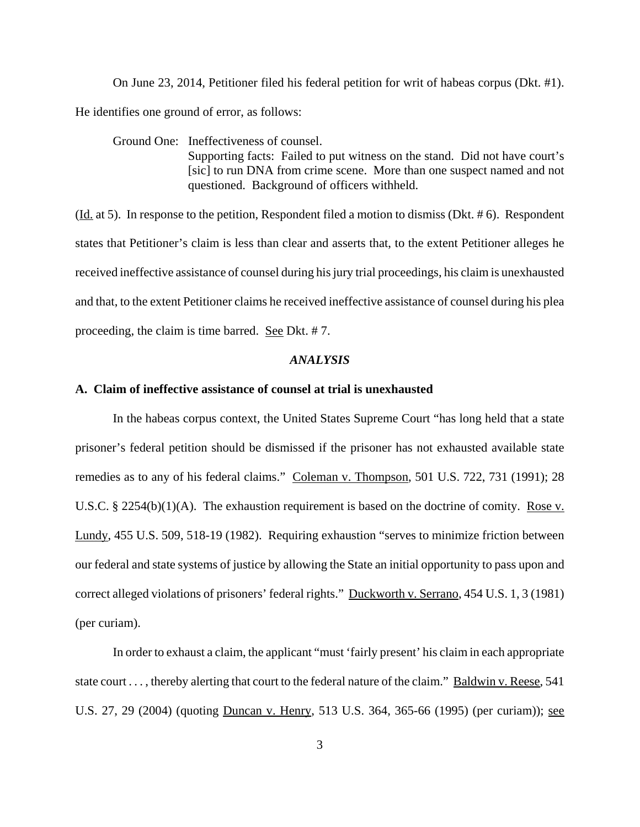On June 23, 2014, Petitioner filed his federal petition for writ of habeas corpus (Dkt. #1). He identifies one ground of error, as follows:

Ground One: Ineffectiveness of counsel. Supporting facts: Failed to put witness on the stand. Did not have court's [sic] to run DNA from crime scene. More than one suspect named and not questioned. Background of officers withheld.

(Id. at 5). In response to the petition, Respondent filed a motion to dismiss (Dkt. # 6). Respondent states that Petitioner's claim is less than clear and asserts that, to the extent Petitioner alleges he received ineffective assistance of counsel during his jury trial proceedings, his claim is unexhausted and that, to the extent Petitioner claims he received ineffective assistance of counsel during his plea proceeding, the claim is time barred. See Dkt. # 7.

#### *ANALYSIS*

## **A. Claim of ineffective assistance of counsel at trial is unexhausted**

In the habeas corpus context, the United States Supreme Court "has long held that a state prisoner's federal petition should be dismissed if the prisoner has not exhausted available state remedies as to any of his federal claims." Coleman v. Thompson, 501 U.S. 722, 731 (1991); 28 U.S.C. § 2254(b)(1)(A). The exhaustion requirement is based on the doctrine of comity. Rose v. Lundy, 455 U.S. 509, 518-19 (1982). Requiring exhaustion "serves to minimize friction between our federal and state systems of justice by allowing the State an initial opportunity to pass upon and correct alleged violations of prisoners' federal rights." Duckworth v. Serrano, 454 U.S. 1, 3 (1981) (per curiam).

In order to exhaust a claim, the applicant "must 'fairly present' his claim in each appropriate state court . . . , thereby alerting that court to the federal nature of the claim." Baldwin v. Reese, 541 U.S. 27, 29 (2004) (quoting Duncan v. Henry, 513 U.S. 364, 365-66 (1995) (per curiam)); see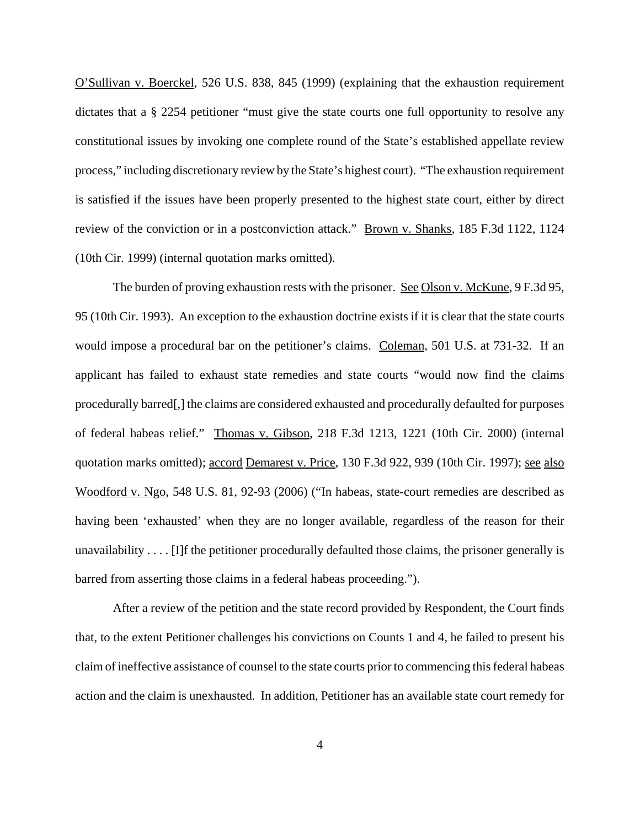O'Sullivan v. Boerckel, 526 U.S. 838, 845 (1999) (explaining that the exhaustion requirement dictates that a § 2254 petitioner "must give the state courts one full opportunity to resolve any constitutional issues by invoking one complete round of the State's established appellate review process," including discretionary review by the State's highest court). "The exhaustion requirement is satisfied if the issues have been properly presented to the highest state court, either by direct review of the conviction or in a postconviction attack." Brown v. Shanks, 185 F.3d 1122, 1124 (10th Cir. 1999) (internal quotation marks omitted).

The burden of proving exhaustion rests with the prisoner. See Olson v. McKune, 9 F.3d 95, 95 (10th Cir. 1993). An exception to the exhaustion doctrine exists if it is clear that the state courts would impose a procedural bar on the petitioner's claims. Coleman, 501 U.S. at 731-32. If an applicant has failed to exhaust state remedies and state courts "would now find the claims procedurally barred[,] the claims are considered exhausted and procedurally defaulted for purposes of federal habeas relief." Thomas v. Gibson, 218 F.3d 1213, 1221 (10th Cir. 2000) (internal quotation marks omitted); accord Demarest v. Price, 130 F.3d 922, 939 (10th Cir. 1997); see also Woodford v. Ngo, 548 U.S. 81, 92-93 (2006) ("In habeas, state-court remedies are described as having been 'exhausted' when they are no longer available, regardless of the reason for their unavailability . . . . [I]f the petitioner procedurally defaulted those claims, the prisoner generally is barred from asserting those claims in a federal habeas proceeding.").

After a review of the petition and the state record provided by Respondent, the Court finds that, to the extent Petitioner challenges his convictions on Counts 1 and 4, he failed to present his claim of ineffective assistance of counsel to the state courts prior to commencing this federal habeas action and the claim is unexhausted. In addition, Petitioner has an available state court remedy for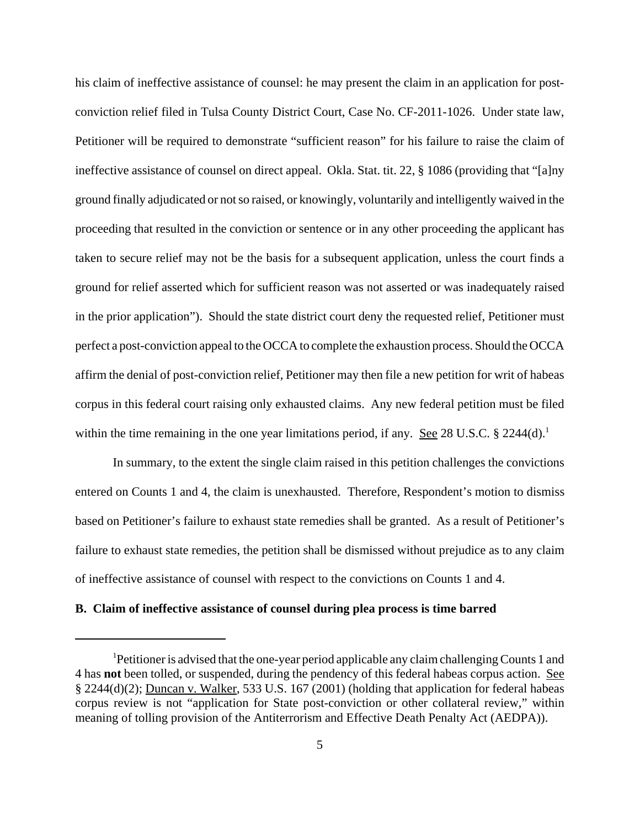his claim of ineffective assistance of counsel: he may present the claim in an application for postconviction relief filed in Tulsa County District Court, Case No. CF-2011-1026. Under state law, Petitioner will be required to demonstrate "sufficient reason" for his failure to raise the claim of ineffective assistance of counsel on direct appeal. Okla. Stat. tit. 22, § 1086 (providing that "[a]ny ground finally adjudicated or not so raised, or knowingly, voluntarily and intelligently waived in the proceeding that resulted in the conviction or sentence or in any other proceeding the applicant has taken to secure relief may not be the basis for a subsequent application, unless the court finds a ground for relief asserted which for sufficient reason was not asserted or was inadequately raised in the prior application"). Should the state district court deny the requested relief, Petitioner must perfect a post-conviction appeal to the OCCA to complete the exhaustion process. Should the OCCA affirm the denial of post-conviction relief, Petitioner may then file a new petition for writ of habeas corpus in this federal court raising only exhausted claims. Any new federal petition must be filed within the time remaining in the one year limitations period, if any. See 28 U.S.C.  $\S$  2244(d).<sup>1</sup>

In summary, to the extent the single claim raised in this petition challenges the convictions entered on Counts 1 and 4, the claim is unexhausted. Therefore, Respondent's motion to dismiss based on Petitioner's failure to exhaust state remedies shall be granted. As a result of Petitioner's failure to exhaust state remedies, the petition shall be dismissed without prejudice as to any claim of ineffective assistance of counsel with respect to the convictions on Counts 1 and 4.

## **B. Claim of ineffective assistance of counsel during plea process is time barred**

<sup>1</sup>Petitioner is advised that the one-year period applicable any claim challenging Counts 1 and 4 has **not** been tolled, or suspended, during the pendency of this federal habeas corpus action. See § 2244(d)(2); Duncan v. Walker, 533 U.S. 167 (2001) (holding that application for federal habeas corpus review is not "application for State post-conviction or other collateral review," within meaning of tolling provision of the Antiterrorism and Effective Death Penalty Act (AEDPA)).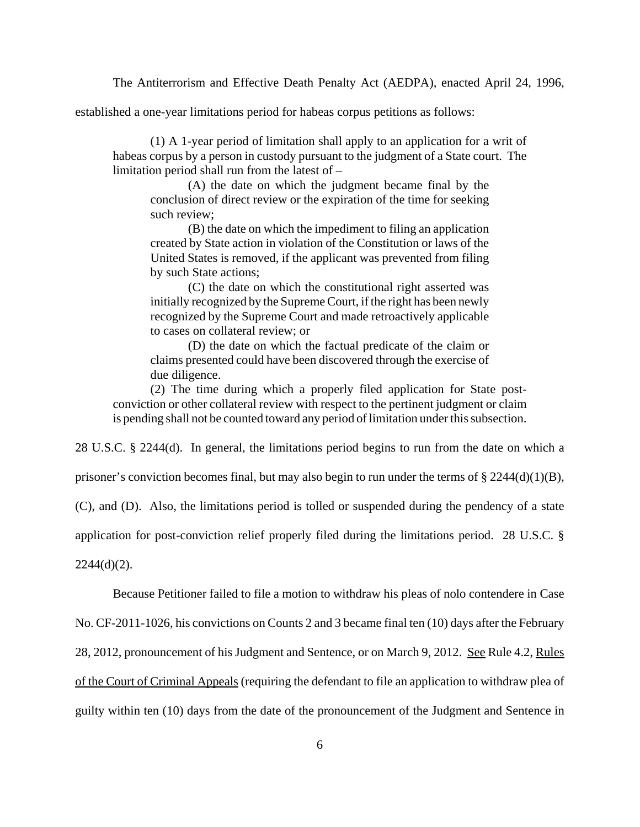The Antiterrorism and Effective Death Penalty Act (AEDPA), enacted April 24, 1996,

established a one-year limitations period for habeas corpus petitions as follows:

(1) A 1-year period of limitation shall apply to an application for a writ of habeas corpus by a person in custody pursuant to the judgment of a State court. The limitation period shall run from the latest of –

(A) the date on which the judgment became final by the conclusion of direct review or the expiration of the time for seeking such review;

(B) the date on which the impediment to filing an application created by State action in violation of the Constitution or laws of the United States is removed, if the applicant was prevented from filing by such State actions;

(C) the date on which the constitutional right asserted was initially recognized by the Supreme Court, if the right has been newly recognized by the Supreme Court and made retroactively applicable to cases on collateral review; or

(D) the date on which the factual predicate of the claim or claims presented could have been discovered through the exercise of due diligence.

(2) The time during which a properly filed application for State postconviction or other collateral review with respect to the pertinent judgment or claim is pending shall not be counted toward any period of limitation under this subsection.

28 U.S.C. § 2244(d). In general, the limitations period begins to run from the date on which a

prisoner's conviction becomes final, but may also begin to run under the terms of § 2244(d)(1)(B),

(C), and (D). Also, the limitations period is tolled or suspended during the pendency of a state

application for post-conviction relief properly filed during the limitations period. 28 U.S.C. §

 $2244(d)(2)$ .

Because Petitioner failed to file a motion to withdraw his pleas of nolo contendere in Case

No. CF-2011-1026, his convictions on Counts 2 and 3 became final ten (10) days after the February

28, 2012, pronouncement of his Judgment and Sentence, or on March 9, 2012. See Rule 4.2, Rules

of the Court of Criminal Appeals (requiring the defendant to file an application to withdraw plea of

guilty within ten (10) days from the date of the pronouncement of the Judgment and Sentence in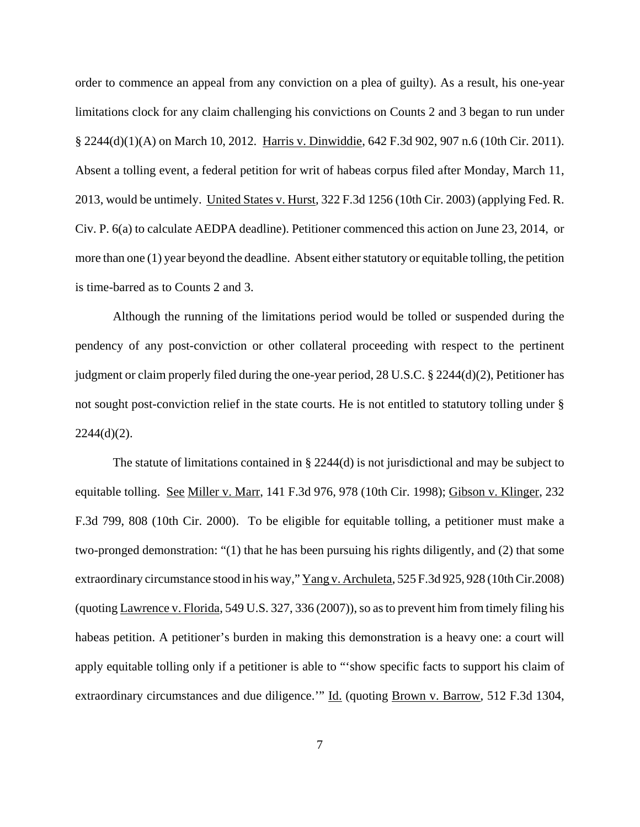order to commence an appeal from any conviction on a plea of guilty). As a result, his one-year limitations clock for any claim challenging his convictions on Counts 2 and 3 began to run under § 2244(d)(1)(A) on March 10, 2012. Harris v. Dinwiddie, 642 F.3d 902, 907 n.6 (10th Cir. 2011). Absent a tolling event, a federal petition for writ of habeas corpus filed after Monday, March 11, 2013, would be untimely. United States v. Hurst, 322 F.3d 1256 (10th Cir. 2003) (applying Fed. R. Civ. P. 6(a) to calculate AEDPA deadline). Petitioner commenced this action on June 23, 2014, or more than one (1) year beyond the deadline. Absent either statutory or equitable tolling, the petition is time-barred as to Counts 2 and 3.

Although the running of the limitations period would be tolled or suspended during the pendency of any post-conviction or other collateral proceeding with respect to the pertinent judgment or claim properly filed during the one-year period, 28 U.S.C. § 2244(d)(2), Petitioner has not sought post-conviction relief in the state courts. He is not entitled to statutory tolling under §  $2244(d)(2)$ .

The statute of limitations contained in  $\S 2244(d)$  is not jurisdictional and may be subject to equitable tolling. See Miller v. Marr, 141 F.3d 976, 978 (10th Cir. 1998); Gibson v. Klinger, 232 F.3d 799, 808 (10th Cir. 2000). To be eligible for equitable tolling, a petitioner must make a two-pronged demonstration: "(1) that he has been pursuing his rights diligently, and (2) that some extraordinary circumstance stood in his way," Yang v. Archuleta, 525 F.3d 925, 928 (10th Cir.2008) (quoting Lawrence v. Florida, 549 U.S. 327, 336 (2007)), so as to prevent him from timely filing his habeas petition. A petitioner's burden in making this demonstration is a heavy one: a court will apply equitable tolling only if a petitioner is able to "'show specific facts to support his claim of extraordinary circumstances and due diligence." Id. (quoting Brown v. Barrow, 512 F.3d 1304,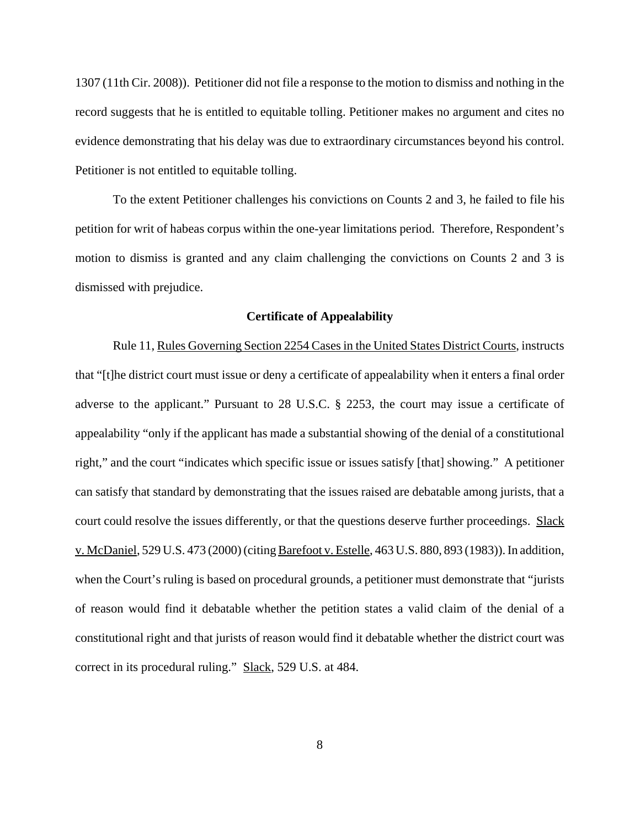1307 (11th Cir. 2008)). Petitioner did not file a response to the motion to dismiss and nothing in the record suggests that he is entitled to equitable tolling. Petitioner makes no argument and cites no evidence demonstrating that his delay was due to extraordinary circumstances beyond his control. Petitioner is not entitled to equitable tolling.

To the extent Petitioner challenges his convictions on Counts 2 and 3, he failed to file his petition for writ of habeas corpus within the one-year limitations period. Therefore, Respondent's motion to dismiss is granted and any claim challenging the convictions on Counts 2 and 3 is dismissed with prejudice.

#### **Certificate of Appealability**

Rule 11, Rules Governing Section 2254 Cases in the United States District Courts, instructs that "[t]he district court must issue or deny a certificate of appealability when it enters a final order adverse to the applicant." Pursuant to 28 U.S.C. § 2253, the court may issue a certificate of appealability "only if the applicant has made a substantial showing of the denial of a constitutional right," and the court "indicates which specific issue or issues satisfy [that] showing." A petitioner can satisfy that standard by demonstrating that the issues raised are debatable among jurists, that a court could resolve the issues differently, or that the questions deserve further proceedings. Slack v. McDaniel, 529 U.S. 473 (2000) (citing Barefoot v. Estelle, 463 U.S. 880, 893 (1983)). In addition, when the Court's ruling is based on procedural grounds, a petitioner must demonstrate that "jurists of reason would find it debatable whether the petition states a valid claim of the denial of a constitutional right and that jurists of reason would find it debatable whether the district court was correct in its procedural ruling." Slack, 529 U.S. at 484.